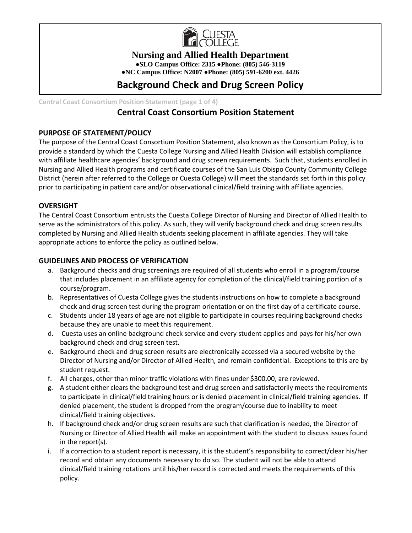

**Nursing and Allied Health Department**

**●SLO Campus Office: 2315 ●Phone: (805) 546-3119**

**●NC Campus Office: N2007 ●Phone: (805) 591-6200 ext. 4426**

# **Background Check and Drug Screen Policy**

**Central Coast Consortium Position Statement (page 1 of 4)**

# **Central Coast Consortium Position Statement**

### **PURPOSE OF STATEMENT/POLICY**

The purpose of the Central Coast Consortium Position Statement, also known as the Consortium Policy, is to provide a standard by which the Cuesta College Nursing and Allied Health Division will establish compliance with affiliate healthcare agencies' background and drug screen requirements. Such that, students enrolled in Nursing and Allied Health programs and certificate courses of the San Luis Obispo County Community College District (herein after referred to the College or Cuesta College) will meet the standards set forth in this policy prior to participating in patient care and/or observational clinical/field training with affiliate agencies.

### **OVERSIGHT**

The Central Coast Consortium entrusts the Cuesta College Director of Nursing and Director of Allied Health to serve as the administrators of this policy. As such, they will verify background check and drug screen results completed by Nursing and Allied Health students seeking placement in affiliate agencies. They will take appropriate actions to enforce the policy as outlined below.

### **GUIDELINES AND PROCESS OF VERIFICATION**

- a. Background checks and drug screenings are required of all students who enroll in a program/course that includes placement in an affiliate agency for completion of the clinical/field training portion of a course/program.
- b. Representatives of Cuesta College gives the students instructions on how to complete a background check and drug screen test during the program orientation or on the first day of a certificate course.
- c. Students under 18 years of age are not eligible to participate in courses requiring background checks because they are unable to meet this requirement.
- d. Cuesta uses an online background check service and every student applies and pays for his/her own background check and drug screen test.
- e. Background check and drug screen results are electronically accessed via a secured website by the Director of Nursing and/or Director of Allied Health, and remain confidential. Exceptions to this are by student request.
- f. All charges, other than minor traffic violations with fines under \$300.00, are reviewed.
- g. A student either clears the background test and drug screen and satisfactorily meets the requirements to participate in clinical/field training hours or is denied placement in clinical/field training agencies. If denied placement, the student is dropped from the program/course due to inability to meet clinical/field training objectives.
- h. If background check and/or drug screen results are such that clarification is needed, the Director of Nursing or Director of Allied Health will make an appointment with the student to discuss issues found in the report(s).
- i. If a correction to a student report is necessary, it is the student's responsibility to correct/clear his/her record and obtain any documents necessary to do so. The student will not be able to attend clinical/field training rotations until his/her record is corrected and meets the requirements of this policy.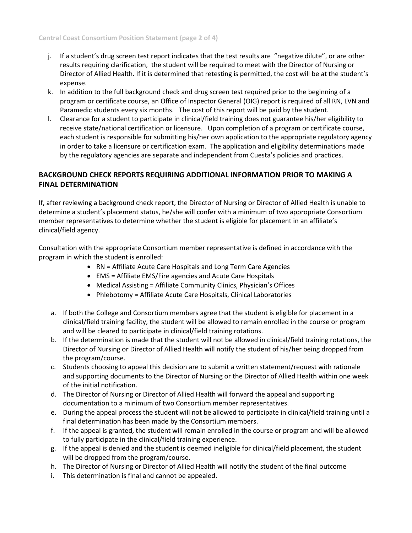- j. If a student's drug screen test report indicates that the test results are "negative dilute", or are other results requiring clarification, the student will be required to meet with the Director of Nursing or Director of Allied Health. If it is determined that retesting is permitted, the cost will be at the student's expense.
- k. In addition to the full background check and drug screen test required prior to the beginning of a program or certificate course, an Office of Inspector General (OIG) report is required of all RN, LVN and Paramedic students every six months. The cost of this report will be paid by the student.
- l. Clearance for a student to participate in clinical/field training does not guarantee his/her eligibility to receive state/national certification or licensure. Upon completion of a program or certificate course, each student is responsible for submitting his/her own application to the appropriate regulatory agency in order to take a licensure or certification exam. The application and eligibility determinations made by the regulatory agencies are separate and independent from Cuesta's policies and practices.

## **BACKGROUND CHECK REPORTS REQUIRING ADDITIONAL INFORMATION PRIOR TO MAKING A FINAL DETERMINATION**

If, after reviewing a background check report, the Director of Nursing or Director of Allied Health is unable to determine a student's placement status, he/she will confer with a minimum of two appropriate Consortium member representatives to determine whether the student is eligible for placement in an affiliate's clinical/field agency.

Consultation with the appropriate Consortium member representative is defined in accordance with the program in which the student is enrolled:

- RN = Affiliate Acute Care Hospitals and Long Term Care Agencies
- EMS = Affiliate EMS/Fire agencies and Acute Care Hospitals
- Medical Assisting = Affiliate Community Clinics, Physician's Offices
- Phlebotomy = Affiliate Acute Care Hospitals, Clinical Laboratories
- a. If both the College and Consortium members agree that the student is eligible for placement in a clinical/field training facility, the student will be allowed to remain enrolled in the course or program and will be cleared to participate in clinical/field training rotations.
- b. If the determination is made that the student will not be allowed in clinical/field training rotations, the Director of Nursing or Director of Allied Health will notify the student of his/her being dropped from the program/course.
- c. Students choosing to appeal this decision are to submit a written statement/request with rationale and supporting documents to the Director of Nursing or the Director of Allied Health within one week of the initial notification.
- d. The Director of Nursing or Director of Allied Health will forward the appeal and supporting documentation to a minimum of two Consortium member representatives.
- e. During the appeal process the student will not be allowed to participate in clinical/field training until a final determination has been made by the Consortium members.
- f. If the appeal is granted, the student will remain enrolled in the course or program and will be allowed to fully participate in the clinical/field training experience.
- g. If the appeal is denied and the student is deemed ineligible for clinical/field placement, the student will be dropped from the program/course.
- h. The Director of Nursing or Director of Allied Health will notify the student of the final outcome
- i. This determination is final and cannot be appealed.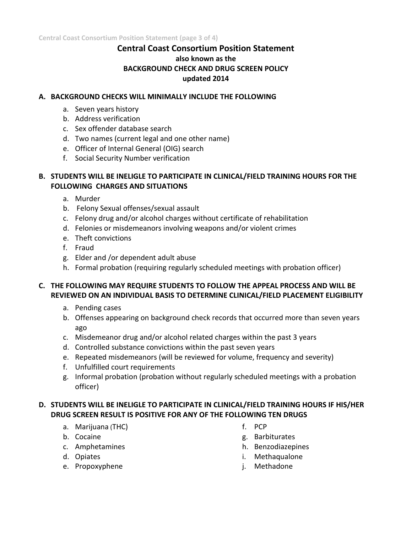# **Central Coast Consortium Position Statement also known as the BACKGROUND CHECK AND DRUG SCREEN POLICY updated 2014**

### **A. BACKGROUND CHECKS WILL MINIMALLY INCLUDE THE FOLLOWING**

- a. Seven years history
- b. Address verification
- c. Sex offender database search
- d. Two names (current legal and one other name)
- e. Officer of Internal General (OIG) search
- f. Social Security Number verification

### **B. STUDENTS WILL BE INELIGLE TO PARTICIPATE IN CLINICAL/FIELD TRAINING HOURS FOR THE FOLLOWING CHARGES AND SITUATIONS**

- a. Murder
- b. Felony Sexual offenses/sexual assault
- c. Felony drug and/or alcohol charges without certificate of rehabilitation
- d. Felonies or misdemeanors involving weapons and/or violent crimes
- e. Theft convictions
- f. Fraud
- g. Elder and /or dependent adult abuse
- h. Formal probation (requiring regularly scheduled meetings with probation officer)

# **C. THE FOLLOWING MAY REQUIRE STUDENTS TO FOLLOW THE APPEAL PROCESS AND WILL BE REVIEWED ON AN INDIVIDUAL BASIS TO DETERMINE CLINICAL/FIELD PLACEMENT ELIGIBILITY**

- a. Pending cases
- b. Offenses appearing on background check records that occurred more than seven years ago
- c. Misdemeanor drug and/or alcohol related charges within the past 3 years
- d. Controlled substance convictions within the past seven years
- e. Repeated misdemeanors (will be reviewed for volume, frequency and severity)
- f. Unfulfilled court requirements
- g. Informal probation (probation without regularly scheduled meetings with a probation officer)

# **D. STUDENTS WILL BE INELIGLE TO PARTICIPATE IN CLINICAL/FIELD TRAINING HOURS IF HIS/HER DRUG SCREEN RESULT IS POSITIVE FOR ANY OF THE FOLLOWING TEN DRUGS**

- a. Marijuana (THC)
- b. Cocaine
- c. Amphetamines
- d. Opiates
- e. Propoxyphene
- f. PCP
- g. Barbiturates
- h. Benzodiazepines
- i. Methaqualone
- j. Methadone